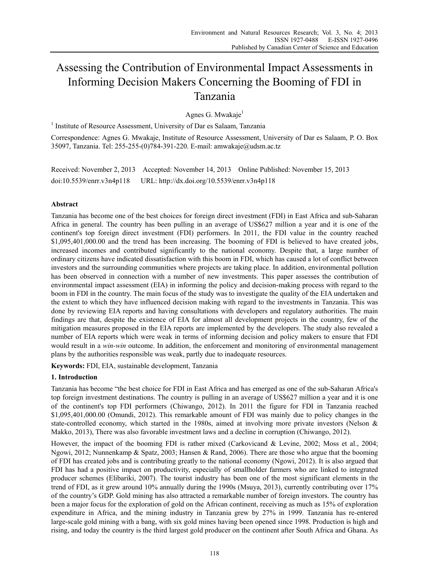# Assessing the Contribution of Environmental Impact Assessments in Informing Decision Makers Concerning the Booming of FDI in Tanzania

Agnes G. Mwakaje<sup>1</sup>

<sup>1</sup> Institute of Resource Assessment, University of Dar es Salaam, Tanzania

Correspondence: Agnes G. Mwakaje, Institute of Resource Assessment, University of Dar es Salaam, P. O. Box 35097, Tanzania. Tel: 255-255-(0)784-391-220. E-mail: amwakaje@udsm.ac.tz

Received: November 2, 2013 Accepted: November 14, 2013 Online Published: November 15, 2013 doi:10.5539/enrr.v3n4p118 URL: http://dx.doi.org/10.5539/enrr.v3n4p118

# **Abstract**

Tanzania has become one of the best choices for foreign direct investment (FDI) in East Africa and sub-Saharan Africa in general. The country has been pulling in an average of US\$627 million a year and it is one of the continent's top foreign direct investment (FDI) performers. In 2011, the FDI value in the country reached \$1,095,401,000.00 and the trend has been increasing. The booming of FDI is believed to have created jobs, increased incomes and contributed significantly to the national economy. Despite that, a large number of ordinary citizens have indicated dissatisfaction with this boom in FDI, which has caused a lot of conflict between investors and the surrounding communities where projects are taking place. In addition, environmental pollution has been observed in connection with a number of new investments. This paper assesses the contribution of environmental impact assessment (EIA) in informing the policy and decision-making process with regard to the boom in FDI in the country. The main focus of the study was to investigate the quality of the EIA undertaken and the extent to which they have influenced decision making with regard to the investments in Tanzania. This was done by reviewing EIA reports and having consultations with developers and regulatory authorities. The main findings are that, despite the existence of EIA for almost all development projects in the country, few of the mitigation measures proposed in the EIA reports are implemented by the developers. The study also revealed a number of EIA reports which were weak in terms of informing decision and policy makers to ensure that FDI would result in a *win-win* outcome. In addition, the enforcement and monitoring of environmental management plans by the authorities responsible was weak, partly due to inadequate resources.

**Keywords:** FDI, EIA, sustainable development, Tanzania

# **1. Introduction**

Tanzania has become "the best choice for FDI in East Africa and has emerged as one of the sub-Saharan Africa's top foreign investment destinations. The country is pulling in an average of US\$627 million a year and it is one of the continent's top FDI performers (Chiwango, 2012). In 2011 the figure for FDI in Tanzania reached \$1,095,401,000.00 (Omundi, 2012). This remarkable amount of FDI was mainly due to policy changes in the state-controlled economy, which started in the 1980s, aimed at involving more private investors (Nelson & Makko, 2013), There was also favorable investment laws and a decline in corruption (Chiwango, 2012).

However, the impact of the booming FDI is rather mixed (Carkovicand & Levine, 2002; Moss et al., 2004; Ngowi, 2012; Nunnenkamp & Spatz, 2003; Hansen & Rand, 2006). There are those who argue that the booming of FDI has created jobs and is contributing greatly to the national economy (Ngowi, 2012). It is also argued that FDI has had a positive impact on productivity, especially of smallholder farmers who are linked to integrated producer schemes (Elibariki, 2007). The tourist industry has been one of the most significant elements in the trend of FDI, as it grew around 10% annually during the 1990s (Msuya, 2013), currently contributing over 17% of the country's GDP. Gold mining has also attracted a remarkable number of foreign investors. The country has been a major focus for the exploration of gold on the African continent, receiving as much as 15% of exploration expenditure in Africa, and the mining industry in Tanzania grew by 27% in 1999. Tanzania has re-entered large-scale gold mining with a bang, with six gold mines having been opened since 1998. Production is high and rising, and today the country is the third largest gold producer on the continent after South Africa and Ghana. As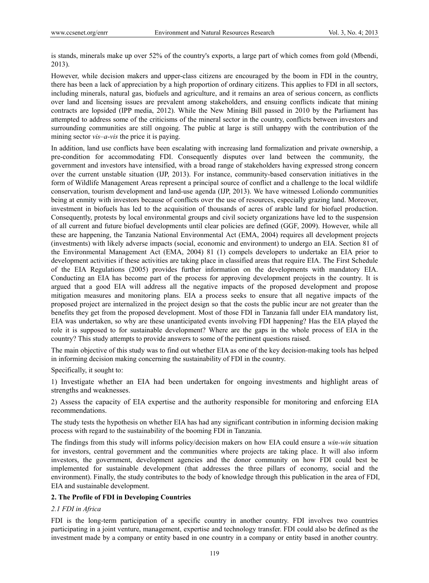is stands, minerals make up over 52% of the country's exports, a large part of which comes from gold (Mbendi, 2013).

However, while decision makers and upper-class citizens are encouraged by the boom in FDI in the country, there has been a lack of appreciation by a high proportion of ordinary citizens. This applies to FDI in all sectors, including minerals, natural gas, biofuels and agriculture, and it remains an area of serious concern, as conflicts over land and licensing issues are prevalent among stakeholders, and ensuing conflicts indicate that mining contracts are lopsided (IPP media, 2012). While the New Mining Bill passed in 2010 by the Parliament has attempted to address some of the criticisms of the mineral sector in the country, conflicts between investors and surrounding communities are still ongoing. The public at large is still unhappy with the contribution of the mining sector *vis–a-vis* the price it is paying.

In addition, land use conflicts have been escalating with increasing land formalization and private ownership, a pre-condition for accommodating FDI. Consequently disputes over land between the community, the government and investors have intensified, with a broad range of stakeholders having expressed strong concern over the current unstable situation (IJP, 2013). For instance, community-based conservation initiatives in the form of Wildlife Management Areas represent a principal source of conflict and a challenge to the local wildlife conservation, tourism development and land-use agenda (IJP, 2013). We have witnessed Loliondo communities being at enmity with investors because of conflicts over the use of resources, especially grazing land. Moreover, investment in biofuels has led to the acquisition of thousands of acres of arable land for biofuel production. Consequently, protests by local environmental groups and civil society organizations have led to the suspension of all current and future biofuel developments until clear policies are defined (GGF, 2009). However, while all these are happening, the Tanzania National Environmental Act (EMA, 2004) requires all development projects (investments) with likely adverse impacts (social, economic and environment) to undergo an EIA. Section 81 of the Environmental Management Act (EMA, 2004) 81 (1) compels developers to undertake an EIA prior to development activities if these activities are taking place in classified areas that require EIA. The First Schedule of the EIA Regulations (2005) provides further information on the developments with mandatory EIA. Conducting an EIA has become part of the process for approving development projects in the country. It is argued that a good EIA will address all the negative impacts of the proposed development and propose mitigation measures and monitoring plans. EIA a process seeks to ensure that all negative impacts of the proposed project are internalized in the project design so that the costs the public incur are not greater than the benefits they get from the proposed development. Most of those FDI in Tanzania fall under EIA mandatory list, EIA was undertaken, so why are these unanticipated events involving FDI happening? Has the EIA played the role it is supposed to for sustainable development? Where are the gaps in the whole process of EIA in the country? This study attempts to provide answers to some of the pertinent questions raised.

The main objective of this study was to find out whether EIA as one of the key decision-making tools has helped in informing decision making concerning the sustainability of FDI in the country.

Specifically, it sought to:

1) Investigate whether an EIA had been undertaken for ongoing investments and highlight areas of strengths and weaknesses.

2) Assess the capacity of EIA expertise and the authority responsible for monitoring and enforcing EIA recommendations.

The study tests the hypothesis on whether EIA has had any significant contribution in informing decision making process with regard to the sustainability of the booming FDI in Tanzania.

The findings from this study will informs policy/decision makers on how EIA could ensure a *win-win* situation for investors, central government and the communities where projects are taking place. It will also inform investors, the government, development agencies and the donor community on how FDI could best be implemented for sustainable development (that addresses the three pillars of economy, social and the environment). Finally, the study contributes to the body of knowledge through this publication in the area of FDI, EIA and sustainable development.

#### **2. The Profile of FDI in Developing Countries**

#### *2.1 FDI in Africa*

FDI is the long-term participation of a specific country in another country. FDI involves two countries participating in a joint venture, management, expertise and technology transfer. FDI could also be defined as the investment made by a company or entity based in one country in a company or entity based in another country.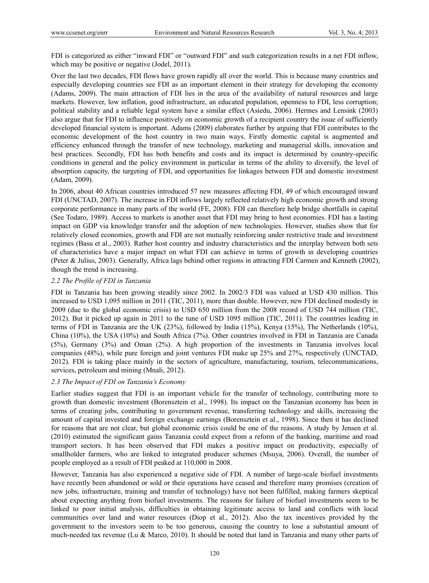FDI is categorized as either "inward FDI" or "outward FDI" and such categorization results in a net FDI inflow, which may be positive or negative (Jodel, 2011).

Over the last two decades, FDI flows have grown rapidly all over the world. This is because many countries and especially developing countries see FDI as an important element in their strategy for developing the economy (Adams, 2009). The main attraction of FDI lies in the area of the availability of natural resources and large markets. However, low inflation, good infrastructure, an educated population, openness to FDI, less corruption; political stability and a reliable legal system have a similar effect (Asiedu, 2006). Hermes and Lensink (2003) also argue that for FDI to influence positively on economic growth of a recipient country the issue of sufficiently developed financial system is important. Adams (2009) elaborates further by arguing that FDI contributes to the economic development of the host country in two main ways. Firstly domestic capital is augmented and efficiency enhanced through the transfer of new technology, marketing and managerial skills, innovation and best practices. Secondly, FDI has both benefits and costs and its impact is determined by country-specific conditions in general and the policy environment in particular in terms of the ability to diversify, the level of absorption capacity, the targeting of FDI, and opportunities for linkages between FDI and domestic investment (Adam, 2009).

In 2006, about 40 African countries introduced 57 new measures affecting FDI, 49 of which encouraged inward FDI (UNCTAD, 2007). The increase in FDI inflows largely reflected relatively high economic growth and strong corporate performance in many parts of the world (FE, 2008). FDI can therefore help bridge shortfalls in capital (See Todaro, 1989). Access to markets is another asset that FDI may bring to host economies. FDI has a lasting impact on GDP via knowledge transfer and the adoption of new technologies. However, studies show that for relatively closed economies, growth and FDI are not mutually reinforcing under restrictive trade and investment regimes (Basu et al., 2003). Rather host country and industry characteristics and the interplay between both sets of characteristics have a major impact on what FDI can achieve in terms of growth in developing countries (Peter & Julius, 2003). Generally, Africa lags behind other regions in attracting FDI Carmen and Kenneth (2002), though the trend is increasing.

## *2.2 The Profile of FDI in Tanzania*

FDI in Tanzania has been growing steadily since 2002. In 2002/3 FDI was valued at USD 430 million. This increased to USD 1,095 million in 2011 (TIC, 2011), more than double. However, new FDI declined modestly in 2009 (due to the global economic crisis) to USD 650 million from the 2008 record of USD 744 million (TIC, 2012). But it picked up again in 2011 to the tune of USD 1095 million (TIC, 2011). The countries leading in terms of FDI in Tanzania are the UK (23%), followed by India (15%), Kenya (15%), The Netherlands (10%), China (10%), the USA (10%) and South Africa (7%). Other countries involved in FDI in Tanzania are Canada (5%), Germany (3%) and Oman (2%). A high proportion of the investments in Tanzania involves local companies (48%), while pure foreign and joint ventures FDI make up 25% and 27%, respectively (UNCTAD, 2012). FDI is taking place mainly in the sectors of agriculture, manufacturing, tourism, telecommunications, services, petroleum and mining (Mnali, 2012).

#### *2.3 The Impact of FDI on Tanzania's Economy*

Earlier studies suggest that FDI is an important vehicle for the transfer of technology, contributing more to growth than domestic investment (Borensztein et al., 1998). Its impact on the Tanzanian economy has been in terms of creating jobs, contributing to government revenue, transferring technology and skills, increasing the amount of capital invested and foreign exchange earnings (Borensztein et al., 1998). Since then it has declined for reasons that are not clear, but global economic crisis could be one of the reasons. A study by Jensen et al. (2010) estimated the significant gains Tanzania could expect from a reform of the banking, maritime and road transport sectors. It has been observed that FDI makes a positive impact on productivity, especially of smallholder farmers, who are linked to integrated producer schemes (Msuya, 2006). Overall, the number of people employed as a result of FDI peaked at 110,000 in 2008.

However, Tanzania has also experienced a negative side of FDI. A number of large-scale biofuel investments have recently been abandoned or sold or their operations have ceased and therefore many promises (creation of new jobs, infrastructure, training and transfer of technology) have not been fulfilled, making farmers skeptical about expecting anything from biofuel investments. The reasons for failure of biofuel investments seem to be linked to poor initial analysis, difficulties in obtaining legitimate access to land and conflicts with local communities over land and water resources (Diop et al., 2012). Also the tax incentives provided by the government to the investors seem to be too generous, causing the country to lose a substantial amount of much-needed tax revenue (Lu & Marco, 2010). It should be noted that land in Tanzania and many other parts of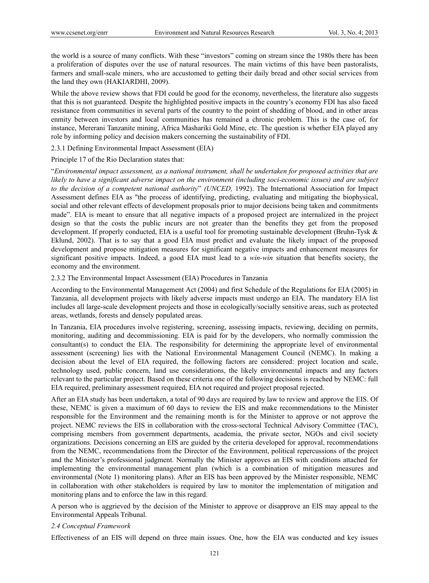the world is a source of many conflicts. With these "investors" coming on stream since the 1980s there has been a proliferation of disputes over the use of natural resources. The main victims of this have been pastoralists, farmers and small-scale miners, who are accustomed to getting their daily bread and other social services from the land they own (HAKIARDHI, 2009).

While the above review shows that FDI could be good for the economy, nevertheless, the literature also suggests that this is not guaranteed. Despite the highlighted positive impacts in the country's economy FDI has also faced resistance from communities in several parts of the country to the point of shedding of blood, and in other areas enmity between investors and local communities has remained a chronic problem. This is the case of, for instance, Mererani Tanzanite mining, Africa Mashariki Gold Mine, etc. The question is whether EIA played any role by informing policy and decision makers concerning the sustainability of FDI.

# 2.3.1 Defining Environmental Impact Assessment (EIA)

#### Principle 17 of the Rio Declaration states that:

"*Environmental impact assessment, as a national instrument, shall be undertaken for proposed activities that are likely to have a significant adverse impact on the environment (including soci-economic issues) and are subject to the decision of a competent national authority*" *(UNCED,* 1992). The International Association for Impact Assessment defines EIA as "the process of identifying, predicting, evaluating and mitigating the biophysical, social and other relevant effects of development proposals prior to major decisions being taken and commitments made". EIA is meant to ensure that all negative impacts of a proposed project are internalized in the project design so that the costs the public incurs are not greater than the benefits they get from the proposed development. If properly conducted, EIA is a useful tool for promoting sustainable development (Bruhn-Tysk & Eklund, 2002). That is to say that a good EIA must predict and evaluate the likely impact of the proposed development and propose mitigation measures for significant negative impacts and enhancement measures for significant positive impacts. Indeed, a good EIA must lead to a *win-win* situation that benefits society, the economy and the environment.

2.3.2 The Environmental Impact Assessment (EIA) Procedures in Tanzania

According to the Environmental Management Act (2004) and first Schedule of the Regulations for EIA (2005) in Tanzania, all development projects with likely adverse impacts must undergo an EIA. The mandatory EIA list includes all large-scale development projects and those in ecologically/socially sensitive areas, such as protected areas, wetlands, forests and densely populated areas.

In Tanzania, EIA procedures involve registering, screening, assessing impacts, reviewing, deciding on permits, monitoring, auditing and decommissioning. EIA is paid for by the developers, who normally commission the consultant(s) to conduct the EIA. The responsibility for determining the appropriate level of environmental assessment (screening) lies with the National Environmental Management Council (NEMC). In making a decision about the level of EIA required, the following factors are considered: project location and scale, technology used, public concern, land use considerations, the likely environmental impacts and any factors relevant to the particular project. Based on these criteria one of the following decisions is reached by NEMC: full EIA required, preliminary assessment required, EIA not required and project proposal rejected.

After an EIA study has been undertaken, a total of 90 days are required by law to review and approve the EIS. Of these, NEMC is given a maximum of 60 days to review the EIS and make recommendations to the Minister responsible for the Environment and the remaining month is for the Minister to approve or not approve the project. NEMC reviews the EIS in collaboration with the cross-sectoral Technical Advisory Committee (TAC), comprising members from government departments, academia, the private sector, NGOs and civil society organizations. Decisions concerning an EIS are guided by the criteria developed for approval, recommendations from the NEMC, recommendations from the Director of the Environment, political repercussions of the project and the Minister's professional judgment. Normally the Minister approves an EIS with conditions attached for implementing the environmental management plan (which is a combination of mitigation measures and environmental (Note 1) monitoring plans). After an EIS has been approved by the Minister responsible, NEMC in collaboration with other stakeholders is required by law to monitor the implementation of mitigation and monitoring plans and to enforce the law in this regard.

A person who is aggrieved by the decision of the Minister to approve or disapprove an EIS may appeal to the Environmental Appeals Tribunal.

## *2.4 Conceptual Framework*

Effectiveness of an EIS will depend on three main issues. One, how the EIA was conducted and key issues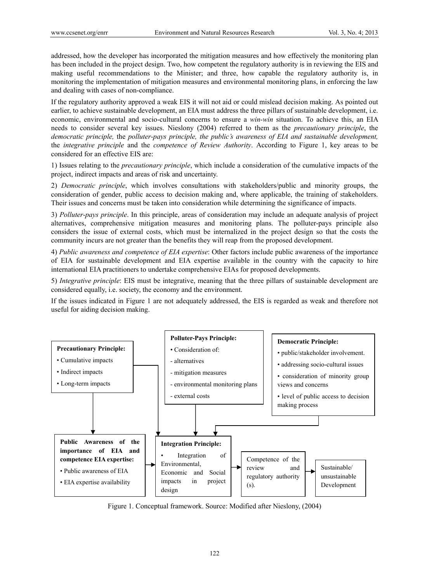addressed, how the developer has incorporated the mitigation measures and how effectively the monitoring plan has been included in the project design. Two, how competent the regulatory authority is in reviewing the EIS and making useful recommendations to the Minister; and three, how capable the regulatory authority is, in monitoring the implementation of mitigation measures and environmental monitoring plans, in enforcing the law and dealing with cases of non-compliance.

If the regulatory authority approved a weak EIS it will not aid or could mislead decision making. As pointed out earlier, to achieve sustainable development, an EIA must address the three pillars of sustainable development, i.e. economic, environmental and socio-cultural concerns to ensure a *win-win* situation. To achieve this, an EIA needs to consider several key issues. Nieslony (2004) referred to them as the *precautionary principle*, the *democratic principle,* the *polluter-pays principle, the public's awareness of EIA and sustainable development,* the *integrative principle* and the *competence of Review Authority*. According to Figure 1, key areas to be considered for an effective EIS are:

1) Issues relating to the *precautionary principle*, which include a consideration of the cumulative impacts of the project, indirect impacts and areas of risk and uncertainty.

2) *Democratic principle*, which involves consultations with stakeholders/public and minority groups, the consideration of gender, public access to decision making and, where applicable, the training of stakeholders. Their issues and concerns must be taken into consideration while determining the significance of impacts.

3) *Polluter-pays principle*. In this principle, areas of consideration may include an adequate analysis of project alternatives, comprehensive mitigation measures and monitoring plans. The polluter-pays principle also considers the issue of external costs, which must be internalized in the project design so that the costs the community incurs are not greater than the benefits they will reap from the proposed development.

4) *Public awareness and competence of EIA expertise*: Other factors include public awareness of the importance of EIA for sustainable development and EIA expertise available in the country with the capacity to hire international EIA practitioners to undertake comprehensive EIAs for proposed developments.

5) *Integrative principle*: EIS must be integrative, meaning that the three pillars of sustainable development are considered equally, i.e. society, the economy and the environment.

If the issues indicated in Figure 1 are not adequately addressed, the EIS is regarded as weak and therefore not useful for aiding decision making.



Figure 1. Conceptual framework. Source: Modified after Nieslony, (2004)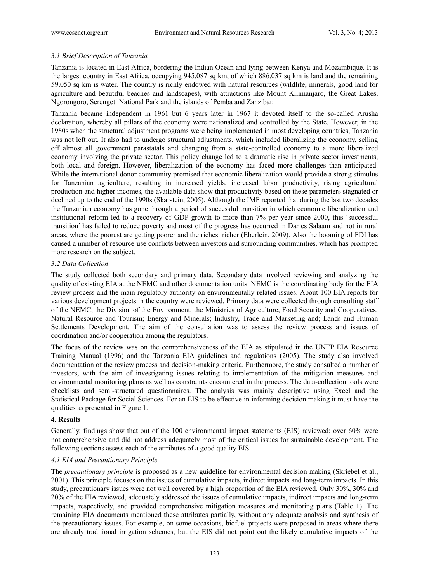# *3.1 Brief Description of Tanzania*

Tanzania is located in East Africa, bordering the Indian Ocean and lying between Kenya and Mozambique. It is the largest country in East Africa, occupying 945,087 sq km, of which 886,037 sq km is land and the remaining 59,050 sq km is water. The country is richly endowed with natural resources (wildlife, minerals, good land for agriculture and beautiful beaches and landscapes), with attractions like Mount Kilimanjaro, the Great Lakes, Ngorongoro, Serengeti National Park and the islands of Pemba and Zanzibar.

Tanzania became independent in 1961 but 6 years later in 1967 it devoted itself to the so-called Arusha declaration, whereby all pillars of the economy were nationalized and controlled by the State. However, in the 1980s when the structural adjustment programs were being implemented in most developing countries, Tanzania was not left out. It also had to undergo structural adjustments, which included liberalizing the economy, selling off almost all government parastatals and changing from a state-controlled economy to a more liberalized economy involving the private sector. This policy change led to a dramatic rise in private sector investments, both local and foreign. However, liberalization of the economy has faced more challenges than anticipated. While the international donor community promised that economic liberalization would provide a strong stimulus for Tanzanian agriculture, resulting in increased yields, increased labor productivity, rising agricultural production and higher incomes, the available data show that productivity based on these parameters stagnated or declined up to the end of the 1990s (Skarstein, 2005). Although the IMF reported that during the last two decades the Tanzanian economy has gone through a period of successful transition in which economic liberalization and institutional reform led to a recovery of GDP growth to more than 7% per year since 2000, this 'successful transition' has failed to reduce poverty and most of the progress has occurred in Dar es Salaam and not in rural areas, where the poorest are getting poorer and the richest richer (Eberlein, 2009). Also the booming of FDI has caused a number of resource-use conflicts between investors and surrounding communities, which has prompted more research on the subject.

## *3.2 Data Collection*

The study collected both secondary and primary data. Secondary data involved reviewing and analyzing the quality of existing EIA at the NEMC and other documentation units. NEMC is the coordinating body for the EIA review process and the main regulatory authority on environmentally related issues. About 100 EIA reports for various development projects in the country were reviewed. Primary data were collected through consulting staff of the NEMC, the Division of the Environment; the Ministries of Agriculture, Food Security and Cooperatives; Natural Resource and Tourism; Energy and Minerals; Industry, Trade and Marketing and; Lands and Human Settlements Development. The aim of the consultation was to assess the review process and issues of coordination and/or cooperation among the regulators.

The focus of the review was on the comprehensiveness of the EIA as stipulated in the UNEP EIA Resource Training Manual (1996) and the Tanzania EIA guidelines and regulations (2005). The study also involved documentation of the review process and decision-making criteria. Furthermore, the study consulted a number of investors, with the aim of investigating issues relating to implementation of the mitigation measures and environmental monitoring plans as well as constraints encountered in the process. The data-collection tools were checklists and semi-structured questionnaires. The analysis was mainly descriptive using Excel and the Statistical Package for Social Sciences. For an EIS to be effective in informing decision making it must have the qualities as presented in Figure 1.

## **4. Results**

Generally, findings show that out of the 100 environmental impact statements (EIS) reviewed; over 60% were not comprehensive and did not address adequately most of the critical issues for sustainable development. The following sections assess each of the attributes of a good quality EIS.

## *4.1 EIA and Precautionary Principle*

The *precautionary principle* is proposed as a new guideline for environmental decision making (Skriebel et al., 2001). This principle focuses on the issues of cumulative impacts, indirect impacts and long-term impacts. In this study, precautionary issues were not well covered by a high proportion of the EIA reviewed. Only 30%, 30% and 20% of the EIA reviewed, adequately addressed the issues of cumulative impacts, indirect impacts and long-term impacts, respectively, and provided comprehensive mitigation measures and monitoring plans (Table 1). The remaining EIA documents mentioned these attributes partially, without any adequate analysis and synthesis of the precautionary issues. For example, on some occasions, biofuel projects were proposed in areas where there are already traditional irrigation schemes, but the EIS did not point out the likely cumulative impacts of the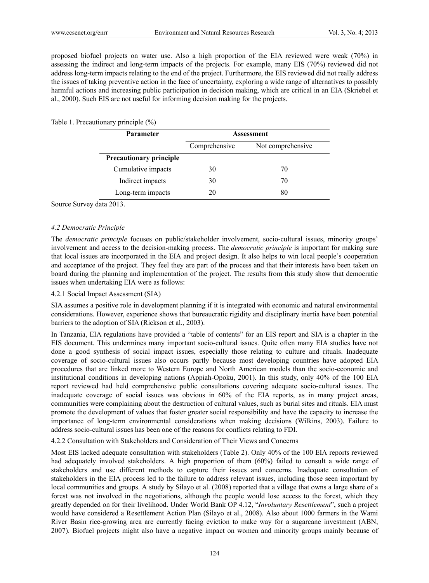proposed biofuel projects on water use. Also a high proportion of the EIA reviewed were weak (70%) in assessing the indirect and long-term impacts of the projects. For example, many EIS (70%) reviewed did not address long-term impacts relating to the end of the project. Furthermore, the EIS reviewed did not really address the issues of taking preventive action in the face of uncertainty, exploring a wide range of alternatives to possibly harmful actions and increasing public participation in decision making, which are critical in an EIA (Skriebel et al., 2000). Such EIS are not useful for informing decision making for the projects.

# Table 1. Precautionary principle (%)

| <b>Parameter</b>               | <b>Assessment</b> |                   |  |
|--------------------------------|-------------------|-------------------|--|
|                                | Comprehensive     | Not comprehensive |  |
| <b>Precautionary principle</b> |                   |                   |  |
| Cumulative impacts             | 30                | 70                |  |
| Indirect impacts               | 30                | 70                |  |
| Long-term impacts              | 20                | 80                |  |

Source Survey data 2013.

# *4.2 Democratic Principle*

The *democratic principle* focuses on public/stakeholder involvement, socio-cultural issues, minority groups' involvement and access to the decision-making process. The *democratic principle* is important for making sure that local issues are incorporated in the EIA and project design. It also helps to win local people's cooperation and acceptance of the project. They feel they are part of the process and that their interests have been taken on board during the planning and implementation of the project. The results from this study show that democratic issues when undertaking EIA were as follows:

# 4.2.1 Social Impact Assessment (SIA)

SIA assumes a positive role in development planning if it is integrated with economic and natural environmental considerations. However, experience shows that bureaucratic rigidity and disciplinary inertia have been potential barriers to the adoption of SIA (Rickson et al., 2003).

In Tanzania, EIA regulations have provided a "table of contents" for an EIS report and SIA is a chapter in the EIS document. This undermines many important socio-cultural issues. Quite often many EIA studies have not done a good synthesis of social impact issues, especially those relating to culture and rituals. Inadequate coverage of socio-cultural issues also occurs partly because most developing countries have adopted EIA procedures that are linked more to Western Europe and North American models than the socio-economic and institutional conditions in developing nations (Appiah-Opoku, 2001). In this study, only 40% of the 100 EIA report reviewed had held comprehensive public consultations covering adequate socio-cultural issues. The inadequate coverage of social issues was obvious in 60% of the EIA reports, as in many project areas, communities were complaining about the destruction of cultural values, such as burial sites and rituals. EIA must promote the development of values that foster greater social responsibility and have the capacity to increase the importance of long-term environmental considerations when making decisions (Wilkins, 2003). Failure to address socio-cultural issues has been one of the reasons for conflicts relating to FDI.

4.2.2 Consultation with Stakeholders and Consideration of Their Views and Concerns

Most EIS lacked adequate consultation with stakeholders (Table 2). Only 40% of the 100 EIA reports reviewed had adequately involved stakeholders. A high proportion of them (60%) failed to consult a wide range of stakeholders and use different methods to capture their issues and concerns. Inadequate consultation of stakeholders in the EIA process led to the failure to address relevant issues, including those seen important by local communities and groups. A study by Silayo et al. (2008) reported that a village that owns a large share of a forest was not involved in the negotiations, although the people would lose access to the forest, which they greatly depended on for their livelihood. Under World Bank OP 4.12, "*Involuntary Resettlement*", such a project would have considered a Resettlement Action Plan (Silayo et al., 2008). Also about 1000 farmers in the Wami River Basin rice-growing area are currently facing eviction to make way for a sugarcane investment (ABN, 2007). Biofuel projects might also have a negative impact on women and minority groups mainly because of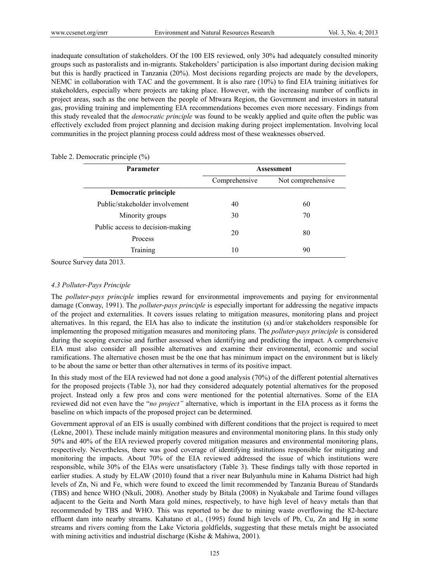inadequate consultation of stakeholders. Of the 100 EIS reviewed, only 30% had adequately consulted minority groups such as pastoralists and in-migrants. Stakeholders' participation is also important during decision making but this is hardly practiced in Tanzania (20%). Most decisions regarding projects are made by the developers, NEMC in collaboration with TAC and the government. It is also rare (10%) to find EIA training initiatives for stakeholders, especially where projects are taking place. However, with the increasing number of conflicts in project areas, such as the one between the people of Mtwara Region, the Government and investors in natural gas, providing training and implementing EIA recommendations becomes even more necessary. Findings from this study revealed that the *democratic principle* was found to be weakly applied and quite often the public was effectively excluded from project planning and decision making during project implementation. Involving local communities in the project planning process could address most of these weaknesses observed.

## Table 2. Democratic principle (%)

| <b>Parameter</b> |                                  | <b>Assessment</b> |                   |  |
|------------------|----------------------------------|-------------------|-------------------|--|
|                  |                                  | Comprehensive     | Not comprehensive |  |
|                  | Democratic principle             |                   |                   |  |
|                  | Public/stakeholder involvement   | 40                | 60                |  |
|                  | Minority groups                  | 30                | 70                |  |
|                  | Public access to decision-making | 20                | 80                |  |
|                  | Process                          |                   |                   |  |
|                  | Training                         | 10                | 90                |  |

Source Survey data 2013.

## *4.3 Polluter-Pays Principle*

The *polluter-pays principle* implies reward for environmental improvements and paying for environmental damage (Conway, 1991). The *polluter-pays principle* is especially important for addressing the negative impacts of the project and externalities. It covers issues relating to mitigation measures, monitoring plans and project alternatives. In this regard, the EIA has also to indicate the institution (s) and/or stakeholders responsible for implementing the proposed mitigation measures and monitoring plans. The *polluter-pays principle* is considered during the scoping exercise and further assessed when identifying and predicting the impact. A comprehensive EIA must also consider all possible alternatives and examine their environmental, economic and social ramifications. The alternative chosen must be the one that has minimum impact on the environment but is likely to be about the same or better than other alternatives in terms of its positive impact.

In this study most of the EIA reviewed had not done a good analysis (70%) of the different potential alternatives for the proposed projects (Table 3), nor had they considered adequately potential alternatives for the proposed project. Instead only a few pros and cons were mentioned for the potential alternatives. Some of the EIA reviewed did not even have the "*no project"* alternative, which is important in the EIA process as it forms the baseline on which impacts of the proposed project can be determined.

Government approval of an EIS is usually combined with different conditions that the project is required to meet (Lekne, 2001). These include mainly mitigation measures and environmental monitoring plans. In this study only 50% and 40% of the EIA reviewed properly covered mitigation measures and environmental monitoring plans, respectively. Nevertheless, there was good coverage of identifying institutions responsible for mitigating and monitoring the impacts. About 70% of the EIA reviewed addressed the issue of which institutions were responsible, while 30% of the EIAs were unsatisfactory (Table 3). These findings tally with those reported in earlier studies. A study by ELAW (2010) found that a river near Bulyanhulu mine in Kahama District had high levels of Zn, Ni and Fe, which were found to exceed the limit recommended by Tanzania Bureau of Standards (TBS) and hence WHO (Nkuli, 2008). Another study by Bitala (2008) in Nyakabale and Tarime found villages adjacent to the Geita and North Mara gold mines, respectively, to have high level of heavy metals than that recommended by TBS and WHO. This was reported to be due to mining waste overflowing the 82-hectare effluent dam into nearby streams. Kahatano et al., (1995) found high levels of Pb, Cu, Zn and Hg in some streams and rivers coming from the Lake Victoria goldfields, suggesting that these metals might be associated with mining activities and industrial discharge (Kishe & Mahiwa, 2001).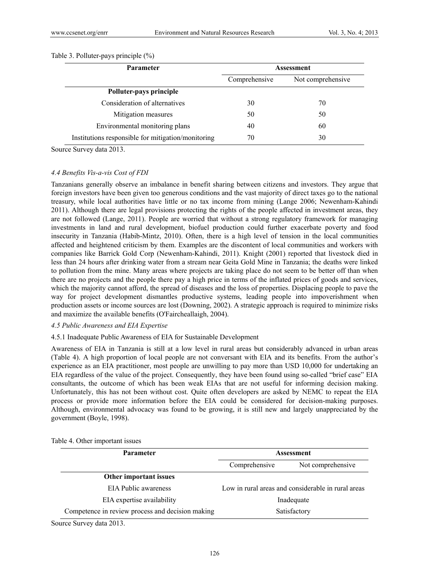# Table 3. Polluter-pays principle (%)

| <b>Parameter</b>                                   | <b>Assessment</b> |                   |
|----------------------------------------------------|-------------------|-------------------|
|                                                    | Comprehensive     | Not comprehensive |
| Polluter-pays principle                            |                   |                   |
| Consideration of alternatives                      | 30                | 70                |
| Mitigation measures                                | 50                | 50                |
| Environmental monitoring plans                     | 40                | 60                |
| Institutions responsible for mitigation/monitoring | 70                | 30                |

Source Survey data 2013.

## *4.4 Benefits Vis-a-vis Cost of FDI*

Tanzanians generally observe an imbalance in benefit sharing between citizens and investors. They argue that foreign investors have been given too generous conditions and the vast majority of direct taxes go to the national treasury, while local authorities have little or no tax income from mining (Lange 2006; Newenham-Kahindi 2011). Although there are legal provisions protecting the rights of the people affected in investment areas, they are not followed (Lange, 2011). People are worried that without a strong regulatory framework for managing investments in land and rural development, biofuel production could further exacerbate poverty and food insecurity in Tanzania (Habib-Mintz, 2010). Often, there is a high level of tension in the local communities affected and heightened criticism by them. Examples are the discontent of local communities and workers with companies like Barrick Gold Corp (Newenham-Kahindi, 2011). Knight (2001) reported that livestock died in less than 24 hours after drinking water from a stream near Geita Gold Mine in Tanzania; the deaths were linked to pollution from the mine. Many areas where projects are taking place do not seem to be better off than when there are no projects and the people there pay a high price in terms of the inflated prices of goods and services, which the majority cannot afford, the spread of diseases and the loss of properties. Displacing people to pave the way for project development dismantles productive systems, leading people into impoverishment when production assets or income sources are lost (Downing, 2002). A strategic approach is required to minimize risks and maximize the available benefits (O'Faircheallaigh, 2004).

## *4.5 Public Awareness and EIA Expertise*

#### 4.5.1 Inadequate Public Awareness of EIA for Sustainable Development

Awareness of EIA in Tanzania is still at a low level in rural areas but considerably advanced in urban areas (Table 4). A high proportion of local people are not conversant with EIA and its benefits. From the author's experience as an EIA practitioner, most people are unwilling to pay more than USD 10,000 for undertaking an EIA regardless of the value of the project. Consequently, they have been found using so-called "brief case" EIA consultants, the outcome of which has been weak EIAs that are not useful for informing decision making. Unfortunately, this has not been without cost. Quite often developers are asked by NEMC to repeat the EIA process or provide more information before the EIA could be considered for decision-making purposes. Although, environmental advocacy was found to be growing, it is still new and largely unappreciated by the government (Boyle, 1998).

| <b>Parameter</b>                                 | <b>Assessment</b>                                  |                   |
|--------------------------------------------------|----------------------------------------------------|-------------------|
|                                                  | Comprehensive                                      | Not comprehensive |
| Other important issues                           |                                                    |                   |
| EIA Public awareness                             | Low in rural areas and considerable in rural areas |                   |
| EIA expertise availability                       | Inadequate                                         |                   |
| Competence in review process and decision making | Satisfactory                                       |                   |

Table 4. Other important issues

Source Survey data 2013.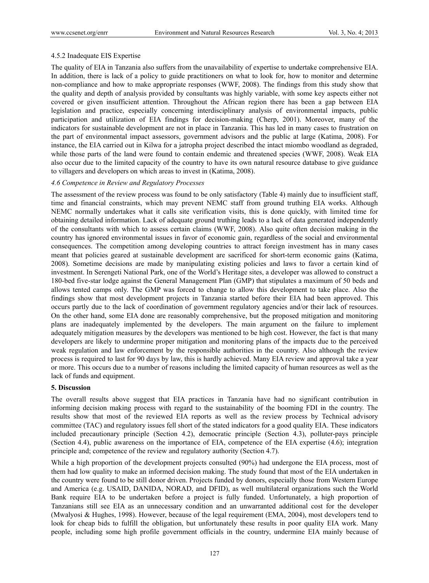# 4.5.2 Inadequate EIS Expertise

The quality of EIA in Tanzania also suffers from the unavailability of expertise to undertake comprehensive EIA. In addition, there is lack of a policy to guide practitioners on what to look for, how to monitor and determine non-compliance and how to make appropriate responses (WWF, 2008). The findings from this study show that the quality and depth of analysis provided by consultants was highly variable, with some key aspects either not covered or given insufficient attention. Throughout the African region there has been a gap between EIA legislation and practice, especially concerning interdisciplinary analysis of environmental impacts, public participation and utilization of EIA findings for decision-making (Cherp, 2001). Moreover, many of the indicators for sustainable development are not in place in Tanzania. This has led in many cases to frustration on the part of environmental impact assessors, government advisors and the public at large (Katima, 2008). For instance, the EIA carried out in Kilwa for a jatropha project described the intact miombo woodland as degraded, while those parts of the land were found to contain endemic and threatened species (WWF, 2008). Weak EIA also occur due to the limited capacity of the country to have its own natural resource database to give guidance to villagers and developers on which areas to invest in (Katima, 2008).

## *4.6 Competence in Review and Regulatory Processes*

The assessment of the review process was found to be only satisfactory (Table 4) mainly due to insufficient staff, time and financial constraints, which may prevent NEMC staff from ground truthing EIA works. Although NEMC normally undertakes what it calls site verification visits, this is done quickly, with limited time for obtaining detailed information. Lack of adequate ground truthing leads to a lack of data generated independently of the consultants with which to assess certain claims (WWF, 2008). Also quite often decision making in the country has ignored environmental issues in favor of economic gain, regardless of the social and environmental consequences. The competition among developing countries to attract foreign investment has in many cases meant that policies geared at sustainable development are sacrificed for short-term economic gains (Katima, 2008). Sometime decisions are made by manipulating existing policies and laws to favor a certain kind of investment. In Serengeti National Park, one of the World's Heritage sites, a developer was allowed to construct a 180-bed five-star lodge against the General Management Plan (GMP) that stipulates a maximum of 50 beds and allows tented camps only. The GMP was forced to change to allow this development to take place. Also the findings show that most development projects in Tanzania started before their EIA had been approved. This occurs partly due to the lack of coordination of government regulatory agencies and/or their lack of resources. On the other hand, some EIA done are reasonably comprehensive, but the proposed mitigation and monitoring plans are inadequately implemented by the developers. The main argument on the failure to implement adequately mitigation measures by the developers was mentioned to be high cost. However, the fact is that many developers are likely to undermine proper mitigation and monitoring plans of the impacts due to the perceived weak regulation and law enforcement by the responsible authorities in the country. Also although the review process is required to last for 90 days by law, this is hardly achieved. Many EIA review and approval take a year or more. This occurs due to a number of reasons including the limited capacity of human resources as well as the lack of funds and equipment.

## **5. Discussion**

The overall results above suggest that EIA practices in Tanzania have had no significant contribution in informing decision making process with regard to the sustainability of the booming FDI in the country. The results show that most of the reviewed EIA reports as well as the review process by Technical advisory committee (TAC) and regulatory issues fell short of the stated indicators for a good quality EIA. These indicators included precautionary principle (Section 4.2), democratic principle (Section 4.3), polluter-pays principle (Section 4.4), public awareness on the importance of EIA, competence of the EIA expertise (4.6); integration principle and; competence of the review and regulatory authority (Section 4.7).

While a high proportion of the development projects consulted (90%) had undergone the EIA process, most of them had low quality to make an informed decision making. The study found that most of the EIA undertaken in the country were found to be still donor driven. Projects funded by donors, especially those from Western Europe and America (e.g. USAID, DANIDA, NORAD, and DFID), as well multilateral organizations such the World Bank require EIA to be undertaken before a project is fully funded. Unfortunately, a high proportion of Tanzanians still see EIA as an unnecessary condition and an unwarranted additional cost for the developer (Mwalyosi & Hughes, 1998). However, because of the legal requirement (EMA, 2004), most developers tend to look for cheap bids to fulfill the obligation, but unfortunately these results in poor quality EIA work. Many people, including some high profile government officials in the country, undermine EIA mainly because of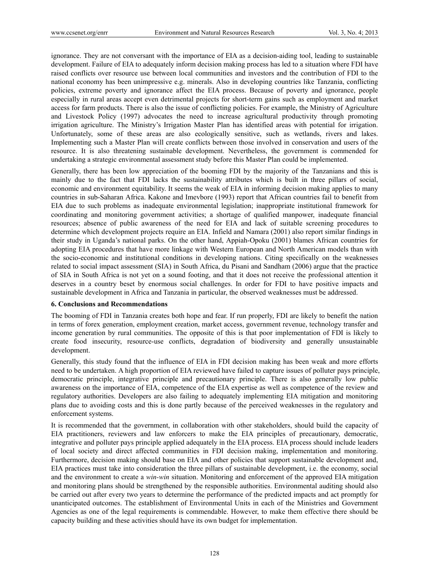ignorance. They are not conversant with the importance of EIA as a decision-aiding tool, leading to sustainable development. Failure of EIA to adequately inform decision making process has led to a situation where FDI have raised conflicts over resource use between local communities and investors and the contribution of FDI to the national economy has been unimpressive e.g. minerals. Also in developing countries like Tanzania, conflicting policies, extreme poverty and ignorance affect the EIA process. Because of poverty and ignorance, people especially in rural areas accept even detrimental projects for short-term gains such as employment and market access for farm products. There is also the issue of conflicting policies. For example, the Ministry of Agriculture and Livestock Policy (1997) advocates the need to increase agricultural productivity through promoting irrigation agriculture. The Ministry's Irrigation Master Plan has identified areas with potential for irrigation. Unfortunately, some of these areas are also ecologically sensitive, such as wetlands, rivers and lakes. Implementing such a Master Plan will create conflicts between those involved in conservation and users of the resource. It is also threatening sustainable development. Nevertheless, the government is commended for undertaking a strategic environmental assessment study before this Master Plan could be implemented.

Generally, there has been low appreciation of the booming FDI by the majority of the Tanzanians and this is mainly due to the fact that FDI lacks the sustainability attributes which is built in three pillars of social, economic and environment equitability. It seems the weak of EIA in informing decision making applies to many countries in sub-Saharan Africa. Kakone and Imevbore (1993) report that African countries fail to benefit from EIA due to such problems as inadequate environmental legislation; inappropriate institutional framework for coordinating and monitoring government activities; a shortage of qualified manpower, inadequate financial resources; absence of public awareness of the need for EIA and lack of suitable screening procedures to determine which development projects require an EIA. Infield and Namara (2001) also report similar findings in their study in Uganda's national parks. On the other hand, Appiah-Opoku (2001) blames African countries for adopting EIA procedures that have more linkage with Western European and North American models than with the socio-economic and institutional conditions in developing nations. Citing specifically on the weaknesses related to social impact assessment (SIA) in South Africa, du Pisani and Sandham (2006) argue that the practice of SIA in South Africa is not yet on a sound footing, and that it does not receive the professional attention it deserves in a country beset by enormous social challenges. In order for FDI to have positive impacts and sustainable development in Africa and Tanzania in particular, the observed weaknesses must be addressed.

## **6. Conclusions and Recommendations**

The booming of FDI in Tanzania creates both hope and fear. If run properly, FDI are likely to benefit the nation in terms of forex generation, employment creation, market access, government revenue, technology transfer and income generation by rural communities. The opposite of this is that poor implementation of FDI is likely to create food insecurity, resource-use conflicts, degradation of biodiversity and generally unsustainable development.

Generally, this study found that the influence of EIA in FDI decision making has been weak and more efforts need to be undertaken. A high proportion of EIA reviewed have failed to capture issues of polluter pays principle, democratic principle, integrative principle and precautionary principle. There is also generally low public awareness on the importance of EIA, competence of the EIA expertise as well as competence of the review and regulatory authorities. Developers are also failing to adequately implementing EIA mitigation and monitoring plans due to avoiding costs and this is done partly because of the perceived weaknesses in the regulatory and enforcement systems.

It is recommended that the government, in collaboration with other stakeholders, should build the capacity of EIA practitioners, reviewers and law enforcers to make the EIA principles of precautionary, democratic, integrative and polluter pays principle applied adequately in the EIA process. EIA process should include leaders of local society and direct affected communities in FDI decision making, implementation and monitoring. Furthermore, decision making should base on EIA and other policies that support sustainable development and, EIA practices must take into consideration the three pillars of sustainable development, i.e. the economy, social and the environment to create a *win-win* situation. Monitoring and enforcement of the approved EIA mitigation and monitoring plans should be strengthened by the responsible authorities. Environmental auditing should also be carried out after every two years to determine the performance of the predicted impacts and act promptly for unanticipated outcomes. The establishment of Environmental Units in each of the Ministries and Government Agencies as one of the legal requirements is commendable. However, to make them effective there should be capacity building and these activities should have its own budget for implementation.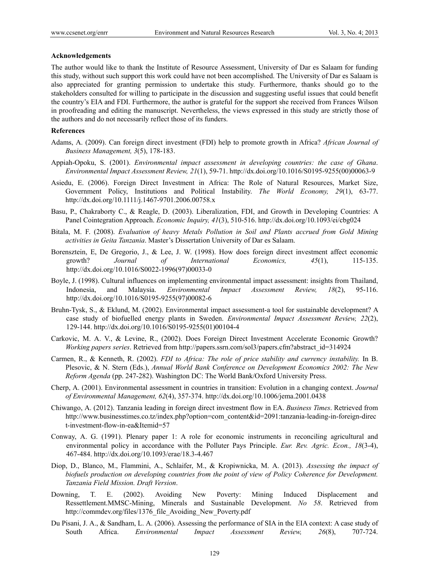#### **Acknowledgements**

The author would like to thank the Institute of Resource Assessment, University of Dar es Salaam for funding this study, without such support this work could have not been accomplished. The University of Dar es Salaam is also appreciated for granting permission to undertake this study. Furthermore, thanks should go to the stakeholders consulted for willing to participate in the discussion and suggesting useful issues that could benefit the country's EIA and FDI. Furthermore, the author is grateful for the support she received from Frances Wilson in proofreading and editing the manuscript. Nevertheless, the views expressed in this study are strictly those of the authors and do not necessarily reflect those of its funders.

#### **References**

- Adams, A. (2009). Can foreign direct investment (FDI) help to promote growth in Africa? *African Journal of Business Management, 3*(5), 178-183.
- Appiah-Opoku, S. (2001). *Environmental impact assessment in developing countries: the case of Ghana*. *Environmental Impact Assessment Review, 21*(1), 59-71. http://dx.doi.org/10.1016/S0195-9255(00)00063-9
- Asiedu, E. (2006). Foreign Direct Investment in Africa: The Role of Natural Resources, Market Size, Government Policy, Institutions and Political Instability. *The World Economy, 29*(1), 63-77. http://dx.doi.org/10.1111/j.1467-9701.2006.00758.x
- Basu, P., Chakraborty C., & Reagle, D. (2003). Liberalization, FDI, and Growth in Developing Countries: A Panel Cointegration Approach. *Economic Inquiry, 41*(3), 510-516. http://dx.doi.org/10.1093/ei/cbg024
- Bitala, M. F. (2008). *Evaluation of heavy Metals Pollution in Soil and Plants accrued from Gold Mining activities in Geita Tanzania*. Master's Dissertation University of Dar es Salaam.
- Borensztein, E, De Gregorio, J., & Lee, J. W. (1998). How does foreign direct investment affect economic growth? *Journal of International Economics, 45*(1), 115-135. http://dx.doi.org/10.1016/S0022-1996(97)00033-0
- Boyle, J. (1998). Cultural influences on implementing environmental impact assessment: insights from Thailand, Indonesia, and Malaysia. *Environmental Impact Assessment Review, 18*(2), 95-116. http://dx.doi.org/10.1016/S0195-9255(97)00082-6
- Bruhn-Tysk, S., & Eklund, M. (2002). Environmental impact assessment-a tool for sustainable development? A case study of biofuelled energy plants in Sweden. *Environmental Impact Assessment Review, 22*(2), 129-144. http://dx.doi.org/10.1016/S0195-9255(01)00104-4
- Carkovic, M. A. V., & Levine, R., (2002). Does Foreign Direct Investment Accelerate Economic Growth? *Working papers series*. Retrieved from http://papers.ssrn.com/sol3/papers.cfm?abstract\_id=314924
- Carmen, R., & Kenneth, R. (2002). *FDI to Africa: The role of price stability and currency instability.* In B. Plesovic, & N. Stern (Eds.), *Annual World Bank Conference on Development Economics 2002: The New Reform Agenda* (pp. 247-282). Washington DC: The World Bank/Oxford University Press.
- Cherp, A. (2001). Environmental assessment in countries in transition: Evolution in a changing context. *Journal of Environmental Management, 62*(4), 357-374. http://dx.doi.org/10.1006/jema.2001.0438
- Chiwango, A. (2012). Tanzania leading in foreign direct investment flow in EA. *Business Times*. Retrieved from http://www.businesstimes.co.tz/index.php?option=com\_content&id=2091:tanzania-leading-in-foreign-direc t-investment-flow-in-ea&Itemid=57
- Conway, A. G. (1991). Plenary paper 1: A role for economic instruments in reconciling agricultural and environmental policy in accordance with the Polluter Pays Principle. *Eur. Rev. Agric. Econ., 18*(3-4), 467-484. http://dx.doi.org/10.1093/erae/18.3-4.467
- Diop, D., Blanco, M., Flammini, A., Schlaifer, M., & Kropiwnicka, M. A. (2013). *Assessing the impact of biofuels production on developing countries from the point of view of Policy Coherence for Development. Tanzania Field Mission. Draft Version*.
- Downing, T. E. (2002). Avoiding New Poverty: Mining Induced Displacement and Ressettlement.MMSC-Mining, Minerals and Sustainable Development. *No 58*. Retrieved from http://commdev.org/files/1376\_file\_Avoiding\_New\_Poverty.pdf
- Du Pisani, J. A., & Sandham, L. A. (2006). Assessing the performance of SIA in the EIA context: A case study of South Africa. *Environmental Impact Assessment Review, 26*(8), 707-724.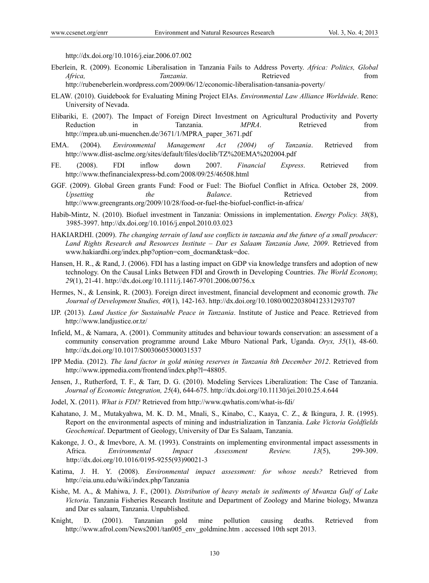http://dx.doi.org/10.1016/j.eiar.2006.07.002

- Eberlein, R. (2009). Economic Liberalisation in Tanzania Fails to Address Poverty. *Africa: Politics, Global Africa, Tanzania*. Retrieved from http://rubeneberlein.wordpress.com/2009/06/12/economic-liberalisation-tansania-poverty/
- ELAW. (2010). Guidebook for Evaluating Mining Project EIAs. *Environmental Law Alliance Worldwide*. Reno: University of Nevada.
- Elibariki, E. (2007). The Impact of Foreign Direct Investment on Agricultural Productivity and Poverty Reduction in Tanzania. *MPRA*. Retrieved from http://mpra.ub.uni-muenchen.de/3671/1/MPRA\_paper\_3671.pdf
- EMA. (2004). *Environmental Management Act (2004) of Tanzania*. Retrieved from http://www.dlist-asclme.org/sites/default/files/doclib/TZ%20EMA%202004.pdf
- FE. (2008). FDI inflow down 2007. *Financial Express*. Retrieved from http://www.thefinancialexpress-bd.com/2008/09/25/46508.html
- GGF. (2009). Global Green grants Fund: Food or Fuel: The Biofuel Conflict in Africa. October 28, 2009. *Upsetting* the *Balance*. Retrieved from http://www.greengrants.org/2009/10/28/food-or-fuel-the-biofuel-conflict-in-africa/
- Habib-Mintz, N. (2010). Biofuel investment in Tanzania: Omissions in implementation. *Energy Policy. 38*(8), 3985-3997. http://dx.doi.org/10.1016/j.enpol.2010.03.023
- HAKIARDHI. (2009). *The changing terrain of land use conflicts in tanzania and the future of a small producer: Land Rights Research and Resources Institute – Dar es Salaam Tanzania June, 2009*. Retrieved from www.hakiardhi.org/index.php?option=com\_docman&task=doc.
- Hansen, H. R., & Rand, J. (2006). FDI has a lasting impact on GDP via knowledge transfers and adoption of new technology. On the Causal Links Between FDI and Growth in Developing Countries. *The World Economy, 29*(1), 21-41. http://dx.doi.org/10.1111/j.1467-9701.2006.00756.x
- Hermes, N., & Lensink, R. (2003). Foreign direct investment, financial development and economic growth. *The Journal of Development Studies, 40*(1), 142-163. http://dx.doi.org/10.1080/00220380412331293707
- IJP. (2013). *Land Justice for Sustainable Peace in Tanzania*. Institute of Justice and Peace. Retrieved from http://www.landjustice.or.tz/
- Infield, M., & Namara, A. (2001). Community attitudes and behaviour towards conservation: an assessment of a community conservation programme around Lake Mburo National Park, Uganda. *Oryx, 35*(1), 48-60. http://dx.doi.org/10.1017/S0030605300031537
- IPP Media. (2012). *The land factor in gold mining reserves in Tanzania 8th December 2012*. Retrieved from http://www.ippmedia.com/frontend/index.php?l=48805.
- Jensen, J., Rutherford, T. F., & Tarr, D. G. (2010). Modeling Services Liberalization: The Case of Tanzania. *Journal of Economic Integration, 25*(4), 644-675. http://dx.doi.org/10.11130/jei.2010.25.4.644
- Jodel, X. (2011). *What is FDI?* Retrieved from http://www.qwhatis.com/what-is-fdi/
- Kahatano, J. M., Mutakyahwa, M. K. D. M., Mnali, S., Kinabo, C., Kaaya, C. Z., & Ikingura, J. R. (1995). Report on the environmental aspects of mining and industrialization in Tanzania. *Lake Victoria Goldfields Geochemical*. Department of Geology, University of Dar Es Salaam, Tanzania.
- Kakonge, J. O., & Imevbore, A. M. (1993). Constraints on implementing environmental impact assessments in Africa. *Environmental Impact Assessment Review. 13*(5), 299-309. http://dx.doi.org/10.1016/0195-9255(93)90021-3
- Katima, J. H. Y. (2008). *Environmental impact assessment: for whose needs?* Retrieved from http://eia.unu.edu/wiki/index.php/Tanzania
- Kishe, M. A., & Mahiwa, J. F., (2001). *Distribution of heavy metals in sediments of Mwanza Gulf of Lake Victoria*. Tanzania Fisheries Research Institute and Department of Zoology and Marine biology, Mwanza and Dar es salaam, Tanzania. Unpublished.
- Knight, D. (2001). Tanzanian gold mine pollution causing deaths. Retrieved from http://www.afrol.com/News2001/tan005\_env\_goldmine.htm . accessed 10th sept 2013.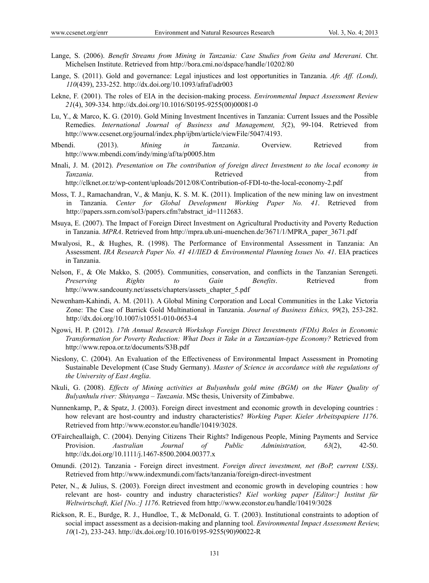- Lange, S. (2006). *Benefit Streams from Mining in Tanzania: Case Studies from Geita and Mererani*. Chr. Michelsen Institute. Retrieved from http://bora.cmi.no/dspace/handle/10202/80
- Lange, S. (2011). Gold and governance: Legal injustices and lost opportunities in Tanzania. Afr. Aff. (Lond), *110*(439), 233-252. http://dx.doi.org/10.1093/afraf/adr003
- Lekne, F. (2001). The roles of EIA in the decision-making process. *Environmental Impact Assessment Review 21*(4), 309-334. http://dx.doi.org/10.1016/S0195-9255(00)00081-0
- Lu, Y., & Marco, K. G. (2010). Gold Mining Investment Incentives in Tanzania: Current Issues and the Possible Remedies. *International Journal of Business and Management, 5*(2), 99-104. Retrieved from http://www.ccsenet.org/journal/index.php/ijbm/article/viewFile/5047/4193.
- Mbendi. (2013). *Mining in Tanzania*. Overview. Retrieved from http://www.mbendi.com/indy/ming/af/ta/p0005.htm
- Mnali, J. M. (2012). *Presentation on The contribution of foreign direct Investment to the local economy in Tanzania*. **Retrieved** *Retrieved Retrieved Retrieved Retrieved Retrieved* http://clknet.or.tz/wp-content/uploads/2012/08/Contribution-of-FDI-to-the-local-economy-2.pdf
- Moss, T. J., Ramachandran, V., & Manju, K. S. M. K. (2011). Implication of the new mining law on investment in Tanzania. *Center for Global Development Working Paper No. 41*. Retrieved from http://papers.ssrn.com/sol3/papers.cfm?abstract\_id=1112683.
- Msuya, E. (2007). The Impact of Foreign Direct Investment on Agricultural Productivity and Poverty Reduction in Tanzania. *MPRA*. Retrieved from http://mpra.ub.uni-muenchen.de/3671/1/MPRA\_paper\_3671.pdf
- Mwalyosi, R., & Hughes, R. (1998). The Performance of Environmental Assessment in Tanzania: An Assessment. *IRA Research Paper No. 41 41/IIED & Environmental Planning Issues No. 41*. EIA practices in Tanzania.
- Nelson, F., & Ole Makko, S. (2005). Communities, conservation, and conflicts in the Tanzanian Serengeti. *Preserving Rights to Gain Benefits*. Retrieved from http://www.sandcounty.net/assets/chapters/assets\_chapter\_5.pdf
- Newenham-Kahindi, A. M. (2011). A Global Mining Corporation and Local Communities in the Lake Victoria Zone: The Case of Barrick Gold Multinational in Tanzania. *Journal of Business Ethics, 99*(2), 253-282. http://dx.doi.org/10.1007/s10551-010-0653-4
- Ngowi, H. P. (2012). *17th Annual Research Workshop Foreign Direct Investments (FDIs) Roles in Economic Transformation for Poverty Reduction: What Does it Take in a Tanzanian-type Economy?* Retrieved from http://www.repoa.or.tz/documents/S3B.pdf
- Nieslony, C. (2004). An Evaluation of the Effectiveness of Environmental Impact Assessment in Promoting Sustainable Development (Case Study Germany). *Master of Science in accordance with the regulations of the University of East Anglia*.
- Nkuli, G. (2008). *Effects of Mining activities at Bulyanhulu gold mine (BGM) on the Water Quality of Bulyanhulu river: Shinyanga – Tanzania*. MSc thesis, University of Zimbabwe.
- Nunnenkamp, P., & Spatz, J. (2003). Foreign direct investment and economic growth in developing countries : how relevant are host-country and industry characteristics? *Working Paper. Kieler Arbeitspapiere 1176*. Retrieved from http://www.econstor.eu/handle/10419/3028.
- O'Faircheallaigh, C. (2004). Denying Citizens Their Rights? Indigenous People, Mining Payments and Service Provision. *Australian Journal of Public Administration, 63*(2), 42-50. http://dx.doi.org/10.1111/j.1467-8500.2004.00377.x
- Omundi. (2012). Tanzania Foreign direct investment. *Foreign direct investment, net (BoP, current US\$)*. Retrieved from http://www.indexmundi.com/facts/tanzania/foreign-direct-investment
- Peter, N., & Julius, S. (2003). Foreign direct investment and economic growth in developing countries : how relevant are host- country and industry characteristics? *Kiel working paper [Editor:] Institut für Weltwirtschaft, Kiel [No.:] 1176*. Retrieved from http://www.econstor.eu/handle/10419/3028
- Rickson, R. E., Burdge, R. J., Hundloe, T., & McDonald, G. T. (2003). Institutional constraints to adoption of social impact assessment as a decision-making and planning tool. *Environmental Impact Assessment Review, 10*(1-2), 233-243. http://dx.doi.org/10.1016/0195-9255(90)90022-R